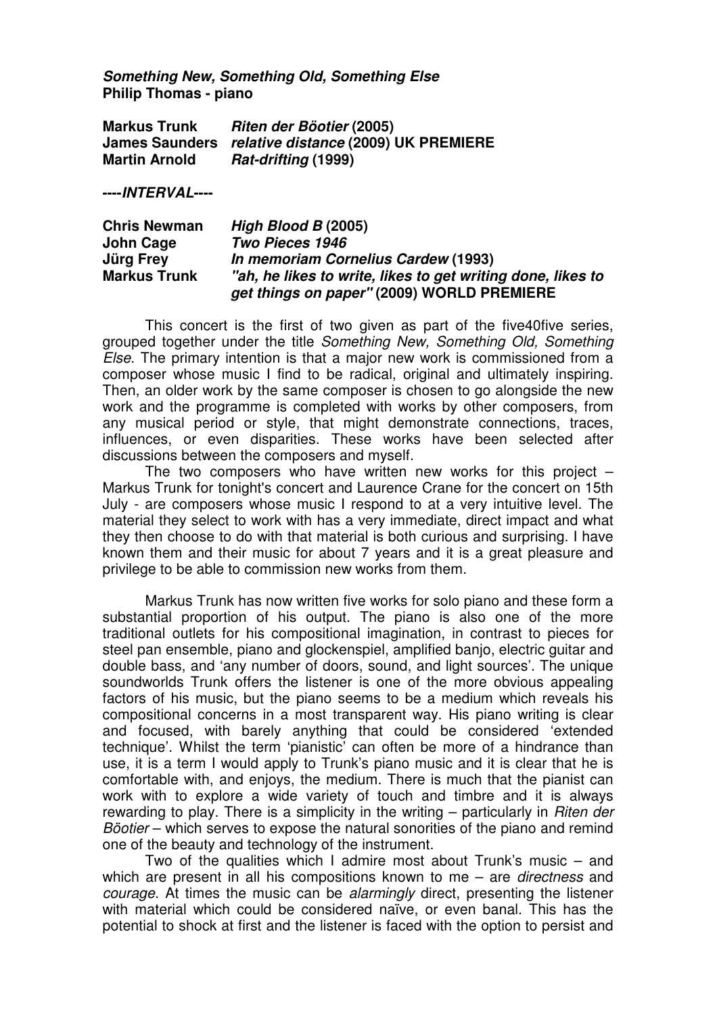## **Something New, Something Old, Something Else Philip Thomas - piano**

| <b>Markus Trunk</b>  | Riten der Böotier (2005)                            |
|----------------------|-----------------------------------------------------|
|                      | James Saunders relative distance (2009) UK PREMIERE |
| <b>Martin Arnold</b> | Rat-drifting (1999)                                 |

**----INTERVAL----** 

| <b>Chris Newman</b> | High Blood B (2005)                                         |
|---------------------|-------------------------------------------------------------|
| John Cage           | <b>Two Pieces 1946</b>                                      |
| <b>Jürg Frey</b>    | In memoriam Cornelius Cardew (1993)                         |
| <b>Markus Trunk</b> | "ah, he likes to write, likes to get writing done, likes to |
|                     | get things on paper" (2009) WORLD PREMIERE                  |

This concert is the first of two given as part of the five40five series, grouped together under the title Something New, Something Old, Something Else. The primary intention is that a major new work is commissioned from a composer whose music I find to be radical, original and ultimately inspiring. Then, an older work by the same composer is chosen to go alongside the new work and the programme is completed with works by other composers, from any musical period or style, that might demonstrate connections, traces, influences, or even disparities. These works have been selected after discussions between the composers and myself.

The two composers who have written new works for this project  $-$ Markus Trunk for tonight's concert and Laurence Crane for the concert on 15th July - are composers whose music I respond to at a very intuitive level. The material they select to work with has a very immediate, direct impact and what they then choose to do with that material is both curious and surprising. I have known them and their music for about 7 years and it is a great pleasure and privilege to be able to commission new works from them.

 Markus Trunk has now written five works for solo piano and these form a substantial proportion of his output. The piano is also one of the more traditional outlets for his compositional imagination, in contrast to pieces for steel pan ensemble, piano and glockenspiel, amplified banjo, electric guitar and double bass, and 'any number of doors, sound, and light sources'. The unique soundworlds Trunk offers the listener is one of the more obvious appealing factors of his music, but the piano seems to be a medium which reveals his compositional concerns in a most transparent way. His piano writing is clear and focused, with barely anything that could be considered 'extended technique'. Whilst the term 'pianistic' can often be more of a hindrance than use, it is a term I would apply to Trunk's piano music and it is clear that he is comfortable with, and enjoys, the medium. There is much that the pianist can work with to explore a wide variety of touch and timbre and it is always rewarding to play. There is a simplicity in the writing – particularly in Riten der Böotier – which serves to expose the natural sonorities of the piano and remind one of the beauty and technology of the instrument.

 Two of the qualities which I admire most about Trunk's music – and which are present in all his compositions known to me – are *directness* and courage. At times the music can be alarmingly direct, presenting the listener with material which could be considered naïve, or even banal. This has the potential to shock at first and the listener is faced with the option to persist and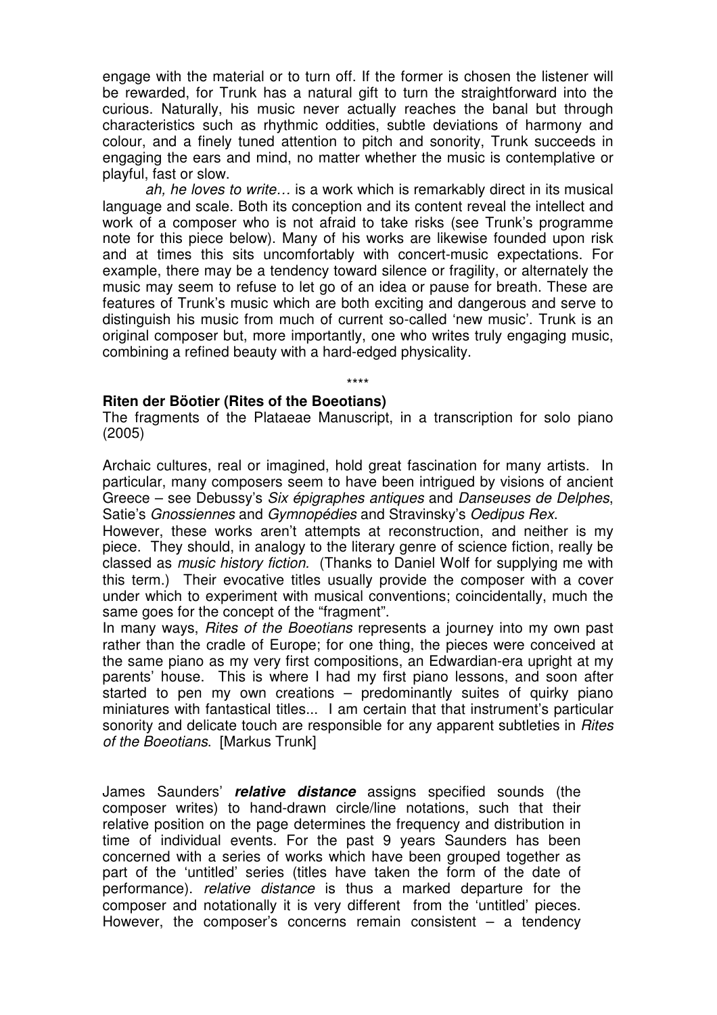engage with the material or to turn off. If the former is chosen the listener will be rewarded, for Trunk has a natural gift to turn the straightforward into the curious. Naturally, his music never actually reaches the banal but through characteristics such as rhythmic oddities, subtle deviations of harmony and colour, and a finely tuned attention to pitch and sonority, Trunk succeeds in engaging the ears and mind, no matter whether the music is contemplative or playful, fast or slow.

ah, he loves to write… is a work which is remarkably direct in its musical language and scale. Both its conception and its content reveal the intellect and work of a composer who is not afraid to take risks (see Trunk's programme note for this piece below). Many of his works are likewise founded upon risk and at times this sits uncomfortably with concert-music expectations. For example, there may be a tendency toward silence or fragility, or alternately the music may seem to refuse to let go of an idea or pause for breath. These are features of Trunk's music which are both exciting and dangerous and serve to distinguish his music from much of current so-called 'new music'. Trunk is an original composer but, more importantly, one who writes truly engaging music, combining a refined beauty with a hard-edged physicality.

## \*\*\*\* **Riten der Böotier (Rites of the Boeotians)**

The fragments of the Plataeae Manuscript, in a transcription for solo piano (2005)

Archaic cultures, real or imagined, hold great fascination for many artists. In particular, many composers seem to have been intrigued by visions of ancient Greece – see Debussy's Six épigraphes antiques and Danseuses de Delphes, Satie's Gnossiennes and Gymnopédies and Stravinsky's Oedipus Rex.

However, these works aren't attempts at reconstruction, and neither is my piece. They should, in analogy to the literary genre of science fiction, really be classed as music history fiction. (Thanks to Daniel Wolf for supplying me with this term.) Their evocative titles usually provide the composer with a cover under which to experiment with musical conventions; coincidentally, much the same goes for the concept of the "fragment".

In many ways, Rites of the Boeotians represents a journey into my own past rather than the cradle of Europe; for one thing, the pieces were conceived at the same piano as my very first compositions, an Edwardian-era upright at my parents' house. This is where I had my first piano lessons, and soon after started to pen my own creations – predominantly suites of quirky piano miniatures with fantastical titles... I am certain that that instrument's particular sonority and delicate touch are responsible for any apparent subtleties in Rites of the Boeotians. [Markus Trunk]

James Saunders' **relative distance** assigns specified sounds (the composer writes) to hand-drawn circle/line notations, such that their relative position on the page determines the frequency and distribution in time of individual events. For the past 9 years Saunders has been concerned with a series of works which have been grouped together as part of the 'untitled' series (titles have taken the form of the date of performance). relative distance is thus a marked departure for the composer and notationally it is very different from the 'untitled' pieces. However, the composer's concerns remain consistent  $-$  a tendency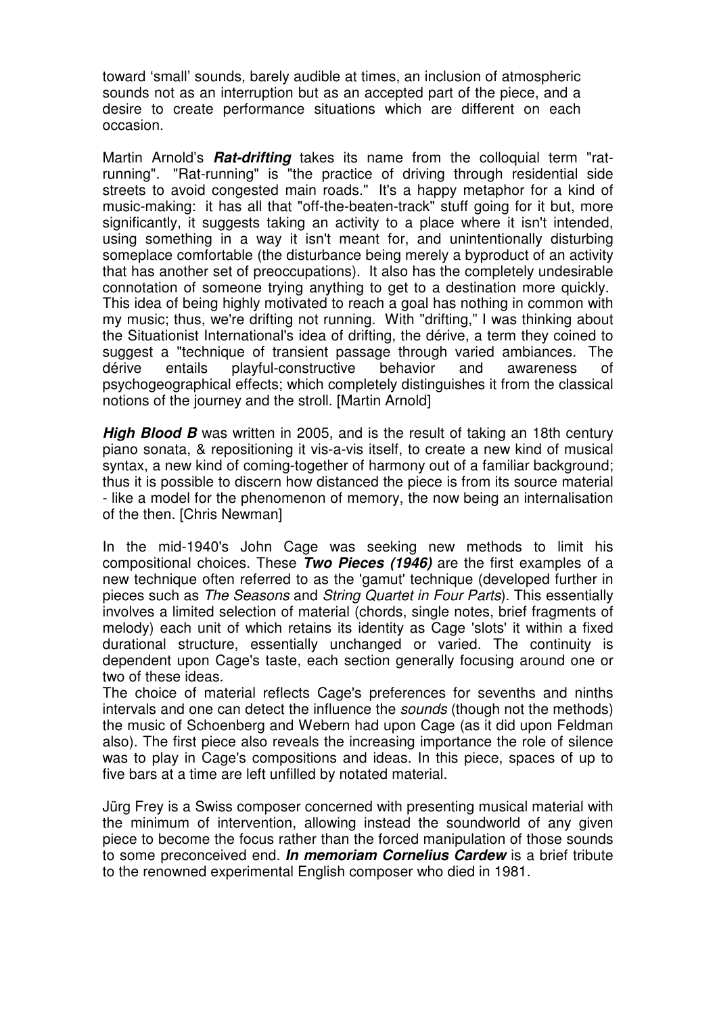toward 'small' sounds, barely audible at times, an inclusion of atmospheric sounds not as an interruption but as an accepted part of the piece, and a desire to create performance situations which are different on each occasion.

Martin Arnold's **Rat-drifting** takes its name from the colloquial term "ratrunning". "Rat-running" is "the practice of driving through residential side streets to avoid congested main roads." It's a happy metaphor for a kind of music-making: it has all that "off-the-beaten-track" stuff going for it but, more significantly, it suggests taking an activity to a place where it isn't intended, using something in a way it isn't meant for, and unintentionally disturbing someplace comfortable (the disturbance being merely a byproduct of an activity that has another set of preoccupations). It also has the completely undesirable connotation of someone trying anything to get to a destination more quickly. This idea of being highly motivated to reach a goal has nothing in common with my music; thus, we're drifting not running. With "drifting," I was thinking about the Situationist International's idea of drifting, the dérive, a term they coined to suggest a "technique of transient passage through varied ambiances. The dérive entails playful-constructive behavior and awareness of psychogeographical effects; which completely distinguishes it from the classical notions of the journey and the stroll. [Martin Arnold]

**High Blood B** was written in 2005, and is the result of taking an 18th century piano sonata, & repositioning it vis-a-vis itself, to create a new kind of musical syntax, a new kind of coming-together of harmony out of a familiar background; thus it is possible to discern how distanced the piece is from its source material - like a model for the phenomenon of memory, the now being an internalisation of the then. [Chris Newman]

In the mid-1940's John Cage was seeking new methods to limit his compositional choices. These **Two Pieces (1946)** are the first examples of a new technique often referred to as the 'gamut' technique (developed further in pieces such as The Seasons and String Quartet in Four Parts). This essentially involves a limited selection of material (chords, single notes, brief fragments of melody) each unit of which retains its identity as Cage 'slots' it within a fixed durational structure, essentially unchanged or varied. The continuity is dependent upon Cage's taste, each section generally focusing around one or two of these ideas.

The choice of material reflects Cage's preferences for sevenths and ninths intervals and one can detect the influence the *sounds* (though not the methods) the music of Schoenberg and Webern had upon Cage (as it did upon Feldman also). The first piece also reveals the increasing importance the role of silence was to play in Cage's compositions and ideas. In this piece, spaces of up to five bars at a time are left unfilled by notated material.

Jürg Frey is a Swiss composer concerned with presenting musical material with the minimum of intervention, allowing instead the soundworld of any given piece to become the focus rather than the forced manipulation of those sounds to some preconceived end. **In memoriam Cornelius Cardew** is a brief tribute to the renowned experimental English composer who died in 1981.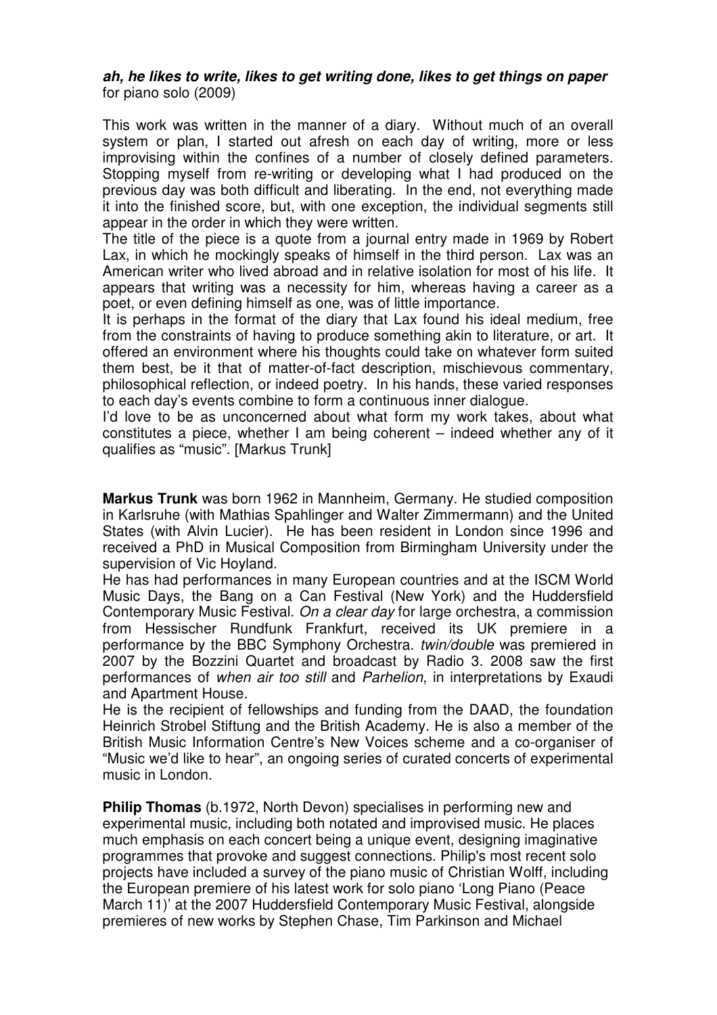## **ah, he likes to write, likes to get writing done, likes to get things on paper**  for piano solo (2009)

This work was written in the manner of a diary. Without much of an overall system or plan, I started out afresh on each day of writing, more or less improvising within the confines of a number of closely defined parameters. Stopping myself from re-writing or developing what I had produced on the previous day was both difficult and liberating. In the end, not everything made it into the finished score, but, with one exception, the individual segments still appear in the order in which they were written.

The title of the piece is a quote from a journal entry made in 1969 by Robert Lax, in which he mockingly speaks of himself in the third person. Lax was an American writer who lived abroad and in relative isolation for most of his life. It appears that writing was a necessity for him, whereas having a career as a poet, or even defining himself as one, was of little importance.

It is perhaps in the format of the diary that Lax found his ideal medium, free from the constraints of having to produce something akin to literature, or art. It offered an environment where his thoughts could take on whatever form suited them best, be it that of matter-of-fact description, mischievous commentary, philosophical reflection, or indeed poetry. In his hands, these varied responses to each day's events combine to form a continuous inner dialogue.

I'd love to be as unconcerned about what form my work takes, about what constitutes a piece, whether I am being coherent – indeed whether any of it qualifies as "music". [Markus Trunk]

**Markus Trunk** was born 1962 in Mannheim, Germany. He studied composition in Karlsruhe (with Mathias Spahlinger and Walter Zimmermann) and the United States (with Alvin Lucier). He has been resident in London since 1996 and received a PhD in Musical Composition from Birmingham University under the supervision of Vic Hoyland.

He has had performances in many European countries and at the ISCM World Music Days, the Bang on a Can Festival (New York) and the Huddersfield Contemporary Music Festival. On a clear day for large orchestra, a commission from Hessischer Rundfunk Frankfurt, received its UK premiere in a performance by the BBC Symphony Orchestra. twin/double was premiered in 2007 by the Bozzini Quartet and broadcast by Radio 3. 2008 saw the first performances of when air too still and Parhelion, in interpretations by Exaudi and Apartment House.

He is the recipient of fellowships and funding from the DAAD, the foundation Heinrich Strobel Stiftung and the British Academy. He is also a member of the British Music Information Centre's New Voices scheme and a co-organiser of "Music we'd like to hear", an ongoing series of curated concerts of experimental music in London.

**Philip Thomas** (b.1972, North Devon) specialises in performing new and experimental music, including both notated and improvised music. He places much emphasis on each concert being a unique event, designing imaginative programmes that provoke and suggest connections. Philip's most recent solo projects have included a survey of the piano music of Christian Wolff, including the European premiere of his latest work for solo piano 'Long Piano (Peace March 11)' at the 2007 Huddersfield Contemporary Music Festival, alongside premieres of new works by Stephen Chase, Tim Parkinson and Michael